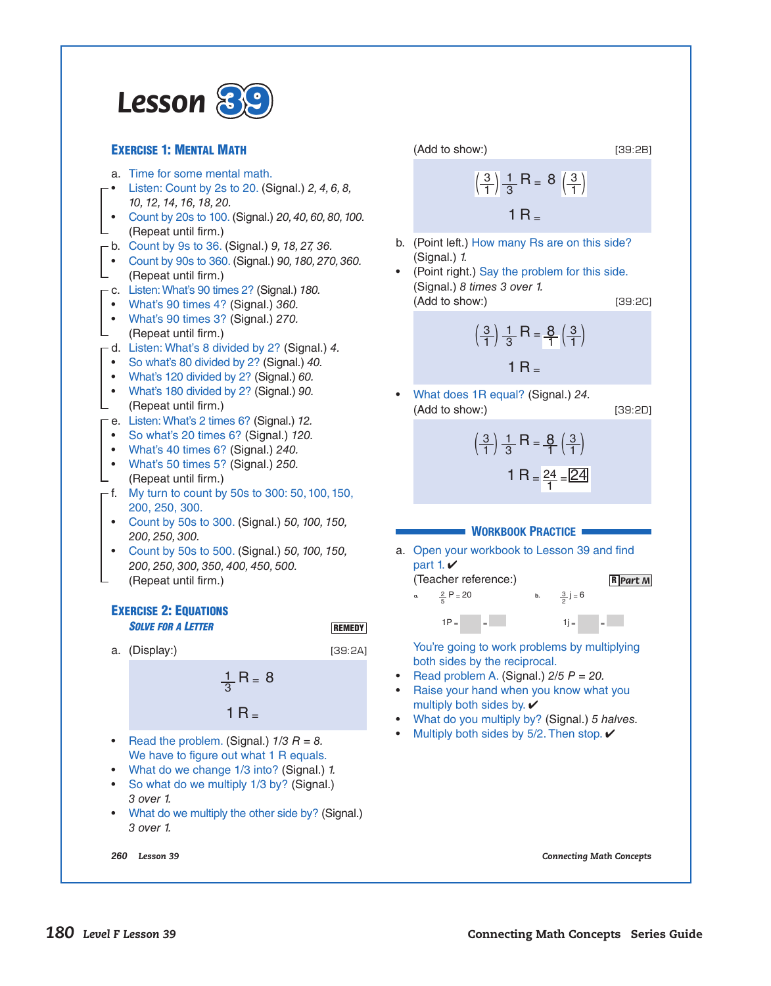| Lesson 89 |  |
|-----------|--|
|-----------|--|

# EXERCISE 1: MENTAL MATH

- a. Time for some mental math.
- Listen: Count by 2s to 20. (Signal.) *2, 4, 6, 8, 10, 12, 14, 16, 18, 20.*
- Count by 20s to 100. (Signal.) *20, 40, 60, 80, 100.* (Repeat until firm.)
- b. Count by 9s to 36. (Signal.) *9, 18, 27, 36.*
- Count by 90s to 360. (Signal.) *90, 180, 270, 360.* (Repeat until firm.)
- c. Listen: What's 90 times 2? (Signal.) *180.*
- What's 90 times 4? (Signal.) *360.*
- What's 90 times 3? (Signal.) *270.*
- (Repeat until firm.)
- d. Listen: What's 8 divided by 2? (Signal.) *4.*
- So what's 80 divided by 2? (Signal.) *40.*
- What's 120 divided by 2? (Signal.) *60.*
- What's 180 divided by 2? (Signal.) *90.* (Repeat until firm.)
- e. Listen: What's 2 times 6? (Signal.) *12.*
- So what's 20 times 6? (Signal.) *120.*
- What's 40 times 6? (Signal.) *240.*
- What's 50 times 5? (Signal.) *250.* (Repeat until firm.)
- $-$  f. My turn to count by 50s to 300: 50, 100, 150, 200, 250, 300.
- Count by 50s to 300. (Signal.) *50, 100, 150, 200, 250, 300.*
- Count by 50s to 500. (Signal.) *50, 100, 150, 200, 250, 300, 350, 400, 450, 500.*
- (Repeat until firm.)

# EXERCISE 2: EQUATIONS

|--|

**REMEDY** 

$$
\frac{1}{3}R = 8
$$
  

$$
1R =
$$

a. (Display:) [39:2A]

- Read the problem. (Signal.) *1/3 R = 8.* We have to figure out what 1 R equals.
- What do we change 1/3 into? (Signal.) *1.*
- So what do we multiply 1/3 by? (Signal.) *3 over 1.*
- What do we multiply the other side by? (Signal.) *3 over 1.*

```
260 Lesson 39 Connecting Math Concepts
```
 $[39:2B]$ 

$$
\left(\frac{3}{1}\right)\frac{1}{3}R = 8\left(\frac{3}{1}\right)
$$
  
1 R =

- b. (Point left.) How many Rs are on this side? (Signal.) *1.*
- (Point right.) Say the problem for this side. (Signal.) *8 times 3 over 1.* (Add to show:) [39:2C]

$$
\left(\frac{3}{1}\right)\frac{1}{3}R = \frac{8}{1}\left(\frac{3}{1}\right)
$$

$$
1R =
$$

• What does 1R equal? (Signal.) *24.* (Add to show:)

> ( 3 1

$$
[39:2D]
$$

$$
-\frac{1}{3}R = \frac{8}{1} \left(\frac{3}{1}\right)
$$
  
1 R =  $\frac{24}{1} = \boxed{24}$ 

# **WORKBOOK PRACTICE**

\n- a. Open your workbook to Lesson 39 and find part 1. 
$$
\triangleright
$$
 (Toseber reference)
\n

(Teacher reference)   
a. 
$$
\frac{2}{5}P=20
$$
 b.  $\frac{3}{2}j=6$   
1P =  $\frac{1}{2}$  1j =  $\frac{1}{2}$ 

You're going to work problems by multiplying both sides by the reciprocal.

- Read problem A. (Signal.) *2/5 P = 20.*
- Raise your hand when you know what you multiply both sides by.  $\checkmark$
- What do you multiply by? (Signal.) *5 halves.*
- Multiply both sides by  $5/2$ . Then stop.  $\checkmark$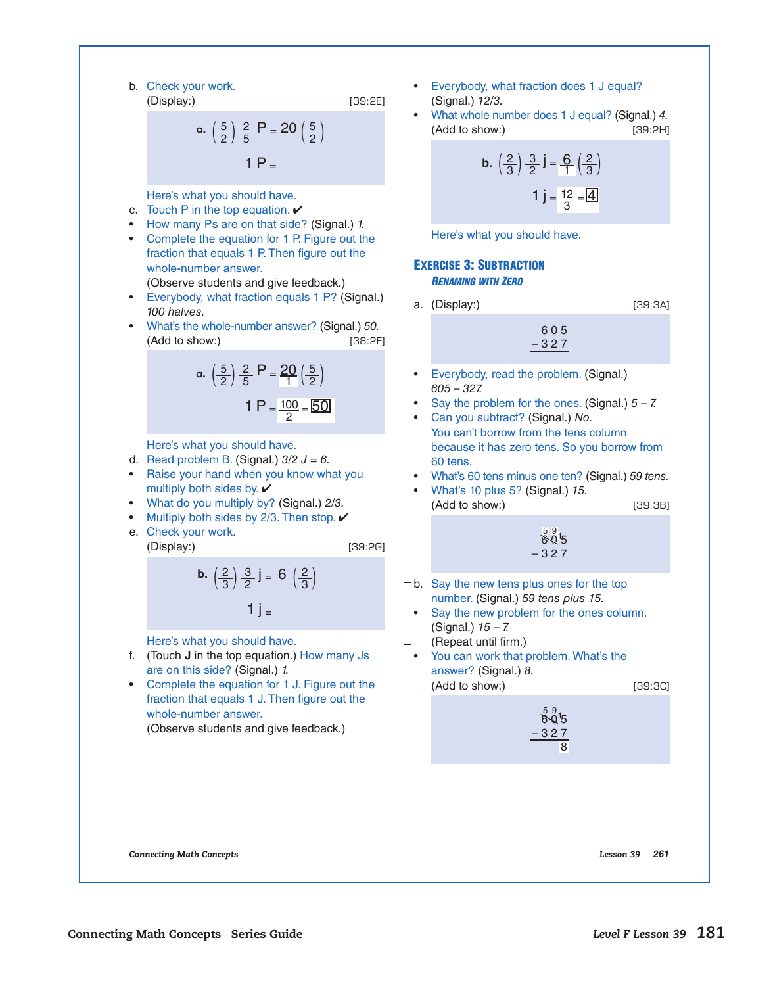b. Check your work. (Display:) [39:2E]

a. 
$$
\left(\frac{5}{2}\right) \frac{2}{5} P = 20 \left(\frac{5}{2}\right)
$$
  
1 P =

Here's what you should have.

- c. Touch P in the top equation.  $\checkmark$
- How many Ps are on that side? (Signal.) *1.*
- Complete the equation for 1 P. Figure out the fraction that equals 1 P. Then figure out the whole-number answer.

(Observe students and give feedback.)

- Everybody, what fraction equals 1 P? (Signal.) *100 halves.*
- What's the whole-number answer? (Signal.) *50.* (Add to show:) [38:2F]

a. 
$$
\left(\frac{5}{2}\right) \frac{2}{5} P = \frac{20}{1} \left(\frac{5}{2}\right)
$$
  
1 P =  $\frac{100}{2} = 50$ 

Here's what you should have.

- d. Read problem B. (Signal.) *3/2 J = 6.*
- Raise your hand when you know what you multiply both sides by.  $\checkmark$
- What do you multiply by? (Signal.) *2/3.*
- Multiply both sides by 2/3. Then stop.  $\checkmark$
- e. Check your work. (Display:) [39:2G]

**b.** 
$$
\left(\frac{2}{3}\right) \frac{3}{2} j = 6 \left(\frac{2}{3}\right)
$$
  
**1**  $j =$ 

Here's what you should have.

- f. (Touch **J** in the top equation.) How many Js are on this side? (Signal.) *1.*
- Complete the equation for 1 J. Figure out the fraction that equals 1 J. Then figure out the whole-number answer.

(Observe students and give feedback.)

- Everybody, what fraction does 1 J equal? (Signal.) *12/3.*
- What whole number does 1 J equal? (Signal.) *4.* (Add to show:) [39:2H]

**b.** 
$$
\left(\frac{2}{3}\right) \frac{3}{2} j = \frac{6}{1} \left(\frac{2}{3}\right)
$$
  
**1**  $j = \frac{12}{3} = 4$ 

Here's what you should have.

# EXERCISE 3: SUBTRACTION  *RENAMING WITH ZERO*

a. (Display:) [39:3A]

6 0 5  $-327$ 

- Everybody, read the problem. (Signal.) *605 – 327.*
- Say the problem for the ones. (Signal.) *5 7.*
- Can you subtract? (Signal.) *No.* You can't borrow from the tens column because it has zero tens. So you borrow from 60 tens.
- What's 60 tens minus one ten? (Signal.) *59 tens.*
- What's 10 plus 5? (Signal.) *15.*  (Add to show:) [39:3B]

5 9<br>6 0 15 – 3 2 7

- b. Say the new tens plus ones for the top number. (Signal.) *59 tens plus 15.*
- Say the new problem for the ones column. (Signal.) *15 – 7.*
- (Repeat until firm.)
- You can work that problem. What's the answer? (Signal.) *8.* (Add to show:) [39:3C]

*Connecting Math Concepts Lesson 39 261*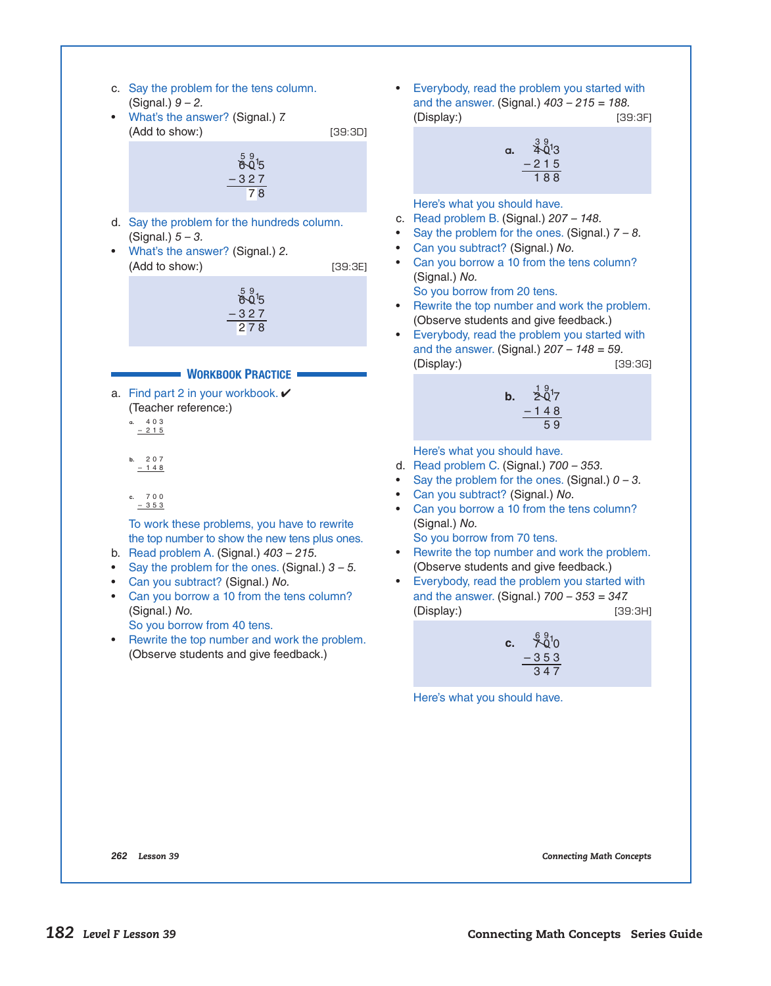| c. Say the problem for the tens column. |
|-----------------------------------------|
| $(Signal.)$ 9 – 2.                      |

| What's the answer? (Signal.) 7. |         |
|---------------------------------|---------|
| (Add to show:)                  | [39:3D] |

|   | ÷ |
|---|---|
| 2 |   |
|   |   |

- d. Say the problem for the hundreds column. (Signal.) *5 – 3.*
- What's the answer? (Signal.) *2.* (Add to show:) [39:3E]

|   |     | 6 |  |
|---|-----|---|--|
|   | 327 |   |  |
| ン | 7   |   |  |

#### WORKBOOK PRACTICE

- a. Find part 2 in your workbook.  $\checkmark$ (Teacher reference:)
	- **a.** 4 0 3  $-215$
	- **b.** 2 0 7  $-148$
	- **c.** 7 0 0 – 3 5 3

 To work these problems, you have to rewrite the top number to show the new tens plus ones.

- b. Read problem A. (Signal.) *403 215.*
- Say the problem for the ones. (Signal.) *3 5.*
- Can you subtract? (Signal.) *No.*
- Can you borrow a 10 from the tens column? (Signal.) *No.*
	- So you borrow from 40 tens.
- Rewrite the top number and work the problem. (Observe students and give feedback.)

• Everybody, read the problem you started with and the answer. (Signal.) *403 – 215 = 188.* (Display:) [39:3F]

| σ | 9.<br>۱'З |  |
|---|-----------|--|
|   | -215      |  |
|   | 8<br>x    |  |

Here's what you should have.

- c. Read problem B. (Signal.) *207 148.*
- Say the problem for the ones. (Signal.) *7 8.*
- Can you subtract? (Signal.) *No.*
- Can you borrow a 10 from the tens column? (Signal.) *No.*

So you borrow from 20 tens.

- Rewrite the top number and work the problem. (Observe students and give feedback.)
- Everybody, read the problem you started with and the answer. (Signal.) *207 – 148 = 59.* (Display:) [39:3G]



Here's what you should have.

- d. Read problem C. (Signal.) *700 353.*
- Say the problem for the ones. (Signal.) *0 3.*
- Can you subtract? (Signal.) *No.*
- Can you borrow a 10 from the tens column? (Signal.) *No.* So you borrow from 70 tens.
- Rewrite the top number and work the problem. (Observe students and give feedback.)
- Everybody, read the problem you started with and the answer. (Signal.) *700 – 353 = 347.* (Display:) [39:3H]

| С. |     |
|----|-----|
|    | 353 |
|    |     |

Here's what you should have.

*262 Lesson 39 Connecting Math Concepts*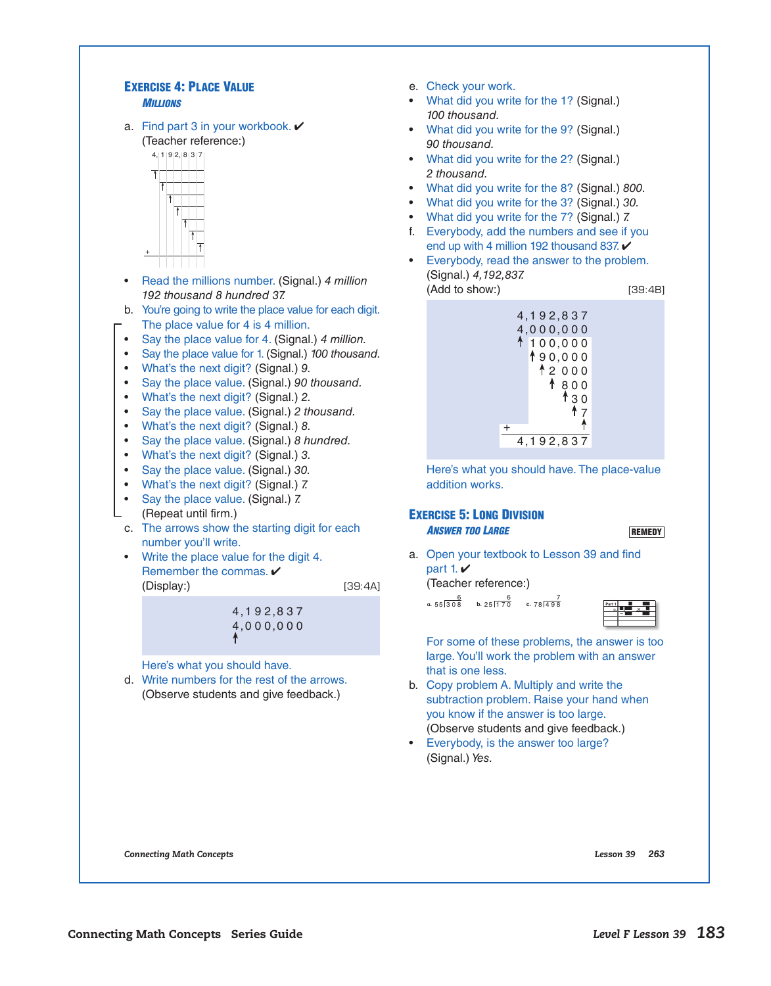# EXERCISE 4: PLACE VALUE  *MILLIONS*

a. Find part 3 in your workbook.  $\checkmark$ (Teacher reference:)



- Read the millions number. (Signal.) *4 million 192 thousand 8 hundred 37.*
- b. You're going to write the place value for each digit. The place value for 4 is 4 million.
- Say the place value for 4. (Signal.) *4 million.*
- Say the place value for 1. (Signal.) *100 thousand.*
- What's the next digit? (Signal.) *9.*
- Say the place value. (Signal.) *90 thousand.*
- What's the next digit? (Signal.) *2.*
- Say the place value. (Signal.) *2 thousand.*
- What's the next digit? (Signal.) *8.*
- Say the place value. (Signal.) *8 hundred.*
- What's the next digit? (Signal.) *3.*
- Say the place value. (Signal.) *30.*
- What's the next digit? (Signal.) *7.*
- Say the place value. (Signal.) *7.* (Repeat until firm.)
- c. The arrows show the starting digit for each number you'll write.
- Write the place value for the digit 4. Remember the commas.  $\checkmark$ (Display:) [39:4A]

4 , 1 9 2 , 8 3 7 4 , 0 0 0 , 0 0 0

Here's what you should have.

d. Write numbers for the rest of the arrows. (Observe students and give feedback.)

- e. Check your work.
- What did you write for the 1? (Signal.) *100 thousand.*
- What did you write for the 9? (Signal.) *90 thousand.*
- What did you write for the 2? (Signal.) *2 thousand.*
- What did you write for the 8? (Signal.) *800.*
- What did you write for the 3? (Signal.) *30.*
- What did you write for the 7? (Signal.) *7.*
- f. Everybody, add the numbers and see if you end up with 4 million 192 thousand 837. ✔
- Everybody, read the answer to the problem. (Signal.) *4,192,837.*



 Here's what you should have. The place-value addition works.

#### EXERCISE 5: LONG DIVISION  *ANSWER TOO LARGE*

**REMEDY** 

a. Open your textbook to Lesson 39 and find part 1. $\checkmark$ 

(Teacher reference:)

**a**. 55 3 0 8<br>**b.** 25 170 **b.** 25  $\overline{170}$  **c.** 78  $\overline{498}$ 



 For some of these problems, the answer is too large. You'll work the problem with an answer that is one less.

- b. Copy problem A. Multiply and write the subtraction problem. Raise your hand when you know if the answer is too large. (Observe students and give feedback.)
- Everybody, is the answer too large? (Signal.) *Yes.*

*Connecting Math Concepts Lesson 39 263*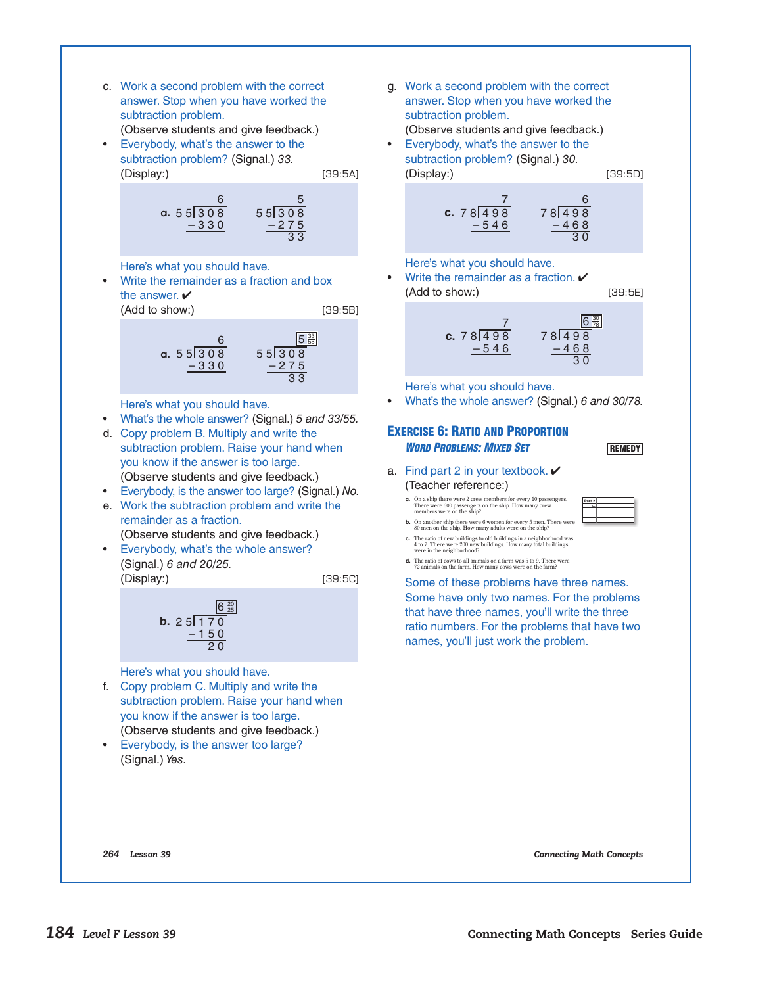c. Work a second problem with the correct answer. Stop when you have worked the subtraction problem.

(Observe students and give feedback.)

• Everybody, what's the answer to the subtraction problem? (Signal.) *33.* (Display:) [39:5A]

a. 
$$
5\overline{5}\overline{308}
$$
  
\n $\begin{array}{r} 6 \\ -330 \\ -275 \\ \end{array}$   
\n $\begin{array}{r} 6 \\ -275 \\ -33 \\ \end{array}$ 

Here's what you should have.

• Write the remainder as a fraction and box the answer.  $\checkmark$ (Add to show:) [39:5B]



Here's what you should have.

- What's the whole answer? (Signal.) *5 and 33/55.*
- d. Copy problem B. Multiply and write the subtraction problem. Raise your hand when you know if the answer is too large. (Observe students and give feedback.)
- Everybody, is the answer too large? (Signal.) *No.* e. Work the subtraction problem and write the
- remainder as a fraction. (Observe students and give feedback.)
- Everybody, what's the whole answer? (Signal.) *6 and 20/25.* (Display:) [39:5C]



Here's what you should have.

- f. Copy problem C. Multiply and write the subtraction problem. Raise your hand when you know if the answer is too large. (Observe students and give feedback.)
- Everybody, is the answer too large? (Signal.) *Yes.*
- g. Work a second problem with the correct answer. Stop when you have worked the subtraction problem.
- (Observe students and give feedback.) • Everybody, what's the answer to the
- subtraction problem? (Signal.) *30.* (Display:) [39:5D]

**c.** 
$$
78\overline{)498}
$$
  $78\overline{)498}$   
\n $\overline{)546}$   $\overline{)78\overline{)498}$   
\n $\overline{)468}$   
\n $\overline{)468}$   
\n $\overline{)30}$ 

Here's what you should have.

• Write the remainder as a fraction.  $\checkmark$ (Add to show:) [39:5E]



Here's what you should have.

• What's the whole answer? (Signal.) *6 and 30/78.*

# EXERCISE 6: RATIO AND PROPORTION  *WORD PROBLEMS: MIXED SET*

**REMEDY** 

**Part 2 a.**

- a. Find part 2 in your textbook.  $\checkmark$ (Teacher reference:)
	- **a.** On a ship there were 2 crew members for every 10 passengers. There were 600 passengers on the ship. How many crew ere were 600 passengers<br>mbers were on the ship?
	-
	- **b.** On another ship there were 6 women for every 5 men. There were 80 men on the ship. How many adults were on the ship?
	- **c.** The ratio of new buildings to old buildings in a neighborhood was 4 to 7. There were in the neighborhood?<br>were in the neighborhood?
	- **d.** The ratio of cows to all animals on a farm was 5 to 9. There were 72 animals on the farm. How many cows were on the farm?

 Some of these problems have three names. Some have only two names. For the problems that have three names, you'll write the three ratio numbers. For the problems that have two names, you'll just work the problem.

*264 Lesson 39 Connecting Math Concepts*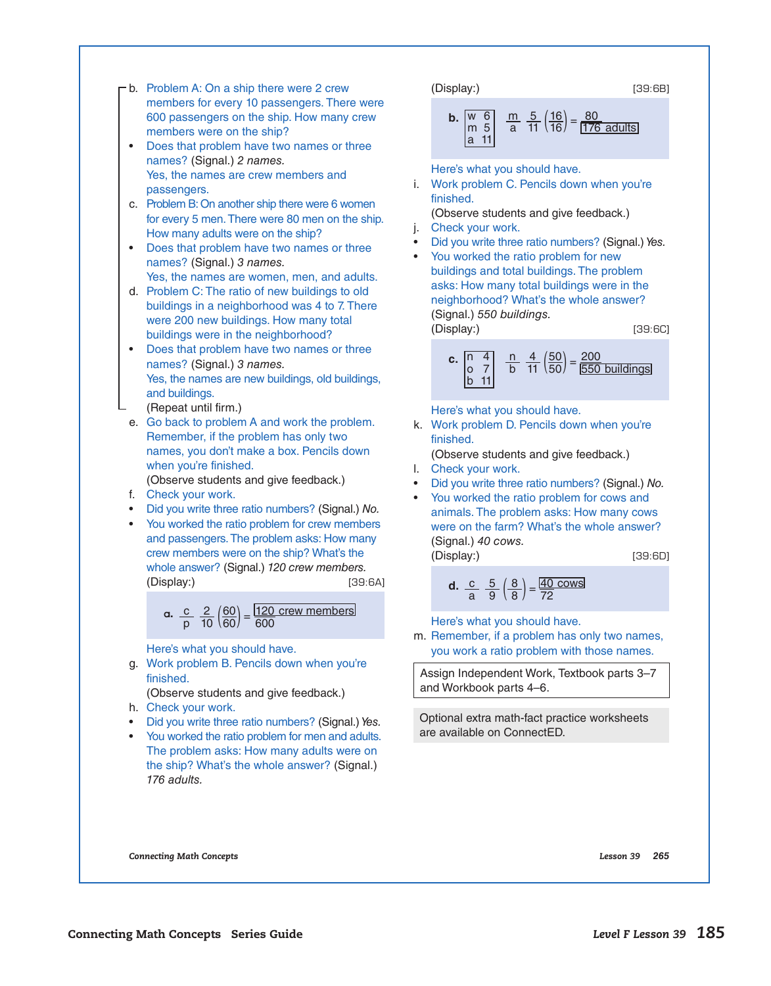- b. Problem A: On a ship there were 2 crew members for every 10 passengers. There were 600 passengers on the ship. How many crew members were on the ship?
- Does that problem have two names or three names? (Signal.) *2 names.* Yes, the names are crew members and passengers.
- c. Problem B: On another ship there were 6 women for every 5 men. There were 80 men on the ship. How many adults were on the ship?
- Does that problem have two names or three names? (Signal.) *3 names.*

Yes, the names are women, men, and adults.

- d. Problem C: The ratio of new buildings to old buildings in a neighborhood was 4 to 7. There were 200 new buildings. How many total buildings were in the neighborhood?
- Does that problem have two names or three names? (Signal.) *3 names.* Yes, the names are new buildings, old buildings, and buildings.

(Repeat until firm.)

e. Go back to problem A and work the problem. Remember, if the problem has only two names, you don't make a box. Pencils down when you're finished.

(Observe students and give feedback.)

- f. Check your work.
- Did you write three ratio numbers? (Signal.) *No.*
- You worked the ratio problem for crew members and passengers. The problem asks: How many crew members were on the ship? What's the whole answer? (Signal.) *120 crew members.* (Display:) [39:6A]

a. 
$$
\frac{c}{p}
$$
  $\frac{2}{10} \left( \frac{60}{60} \right) = \frac{120 \text{ crew members}}{600}$ 

Here's what you should have.

g. Work problem B. Pencils down when you're finished.

(Observe students and give feedback.)

- h. Check your work.
- Did you write three ratio numbers? (Signal.) *Yes.*
- You worked the ratio problem for men and adults. The problem asks: How many adults were on the ship? What's the whole answer? (Signal.) *176 adults.*



Here's what you should have.

i. Work problem C. Pencils down when you're finished.

(Observe students and give feedback.) j. Check your work.

- Did you write three ratio numbers? (Signal.) *Yes.*
- You worked the ratio problem for new buildings and total buildings. The problem asks: How many total buildings were in the neighborhood? What's the whole answer? (Signal.) *550 buildings.* (Display:) [39:6C]

**c.** 
$$
\begin{bmatrix} n & 4 \\ 0 & 7 \end{bmatrix}
$$
  $\begin{bmatrix} n & 4 \\ 5 & 11 \end{bmatrix}$   $\begin{bmatrix} 50 \\ 50 \end{bmatrix}$  =  $\frac{200}{550}$  buildings

Here's what you should have.

k. Work problem D. Pencils down when you're finished.

(Observe students and give feedback.)

- l. Check your work.
- Did you write three ratio numbers? (Signal.) *No.*
- You worked the ratio problem for cows and animals. The problem asks: How many cows were on the farm? What's the whole answer? (Signal.) *40 cows.*

(Display:) [39:6D]

$$
d. \frac{c}{a} \frac{5}{9} \left( \frac{8}{8} \right) = \frac{40 \text{ cows}}{72}
$$

Here's what you should have.

m. Remember, if a problem has only two names, you work a ratio problem with those names.

Assign Independent Work, Textbook parts 3–7 and Workbook parts 4–6.

Optional extra math-fact practice worksheets are available on ConnectED.

*Connecting Math Concepts Lesson 39 265*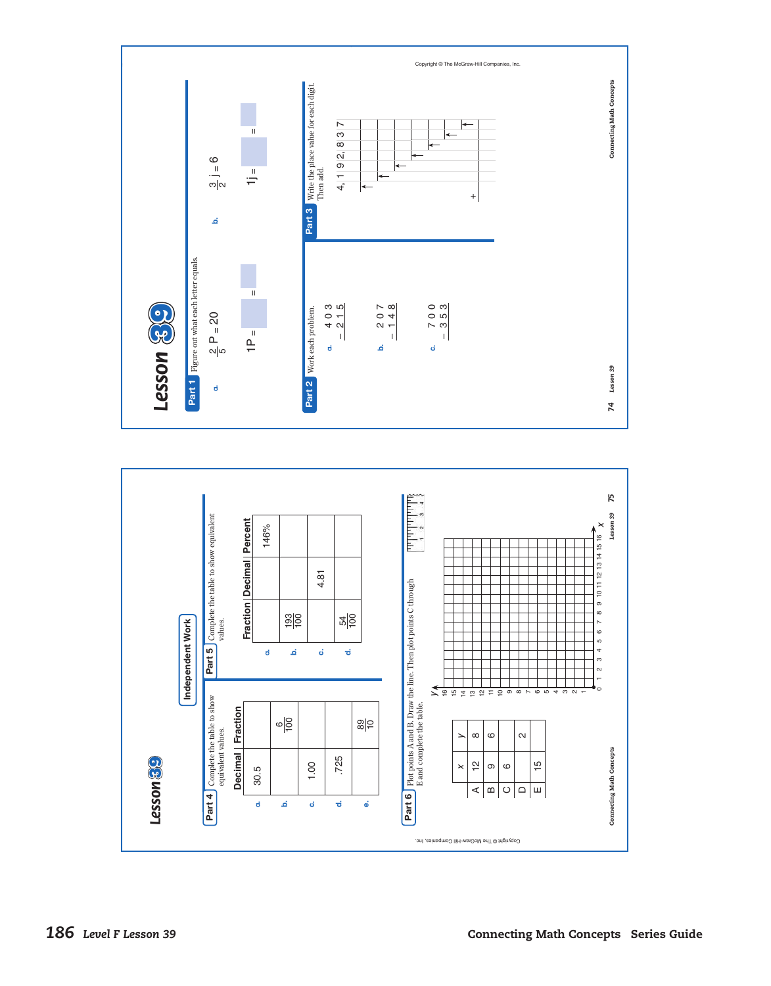